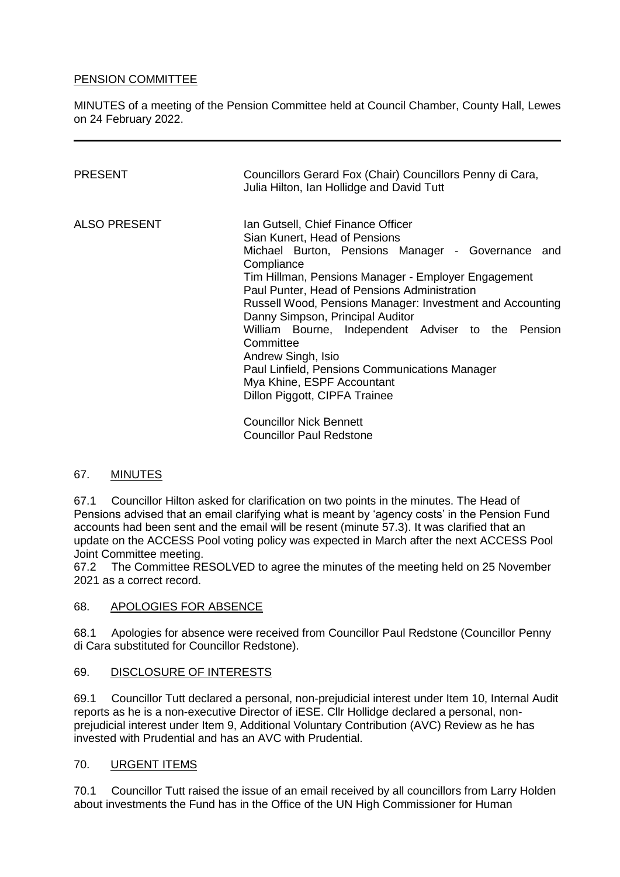### PENSION COMMITTEE

MINUTES of a meeting of the Pension Committee held at Council Chamber, County Hall, Lewes on 24 February 2022.

| PRESENT      | Councillors Gerard Fox (Chair) Councillors Penny di Cara,<br>Julia Hilton, Ian Hollidge and David Tutt                                                                                                                                                                                                                                                                                                                                                                                                                                                   |
|--------------|----------------------------------------------------------------------------------------------------------------------------------------------------------------------------------------------------------------------------------------------------------------------------------------------------------------------------------------------------------------------------------------------------------------------------------------------------------------------------------------------------------------------------------------------------------|
| ALSO PRESENT | Ian Gutsell, Chief Finance Officer<br>Sian Kunert, Head of Pensions<br>Michael Burton, Pensions Manager - Governance and<br>Compliance<br>Tim Hillman, Pensions Manager - Employer Engagement<br>Paul Punter, Head of Pensions Administration<br>Russell Wood, Pensions Manager: Investment and Accounting<br>Danny Simpson, Principal Auditor<br>William Bourne, Independent Adviser to the Pension<br>Committee<br>Andrew Singh, Isio<br>Paul Linfield, Pensions Communications Manager<br>Mya Khine, ESPF Accountant<br>Dillon Piggott, CIPFA Trainee |
|              | Councillor Niels Donnett                                                                                                                                                                                                                                                                                                                                                                                                                                                                                                                                 |

Councillor Nick Bennett Councillor Paul Redstone

#### 67. MINUTES

67.1 Councillor Hilton asked for clarification on two points in the minutes. The Head of Pensions advised that an email clarifying what is meant by 'agency costs' in the Pension Fund accounts had been sent and the email will be resent (minute 57.3). It was clarified that an update on the ACCESS Pool voting policy was expected in March after the next ACCESS Pool Joint Committee meeting.

67.2 The Committee RESOLVED to agree the minutes of the meeting held on 25 November 2021 as a correct record.

#### 68. APOLOGIES FOR ABSENCE

68.1 Apologies for absence were received from Councillor Paul Redstone (Councillor Penny di Cara substituted for Councillor Redstone).

#### 69. DISCLOSURE OF INTERESTS

69.1 Councillor Tutt declared a personal, non-prejudicial interest under Item 10, Internal Audit reports as he is a non-executive Director of iESE. Cllr Hollidge declared a personal, nonprejudicial interest under Item 9, Additional Voluntary Contribution (AVC) Review as he has invested with Prudential and has an AVC with Prudential.

#### 70. URGENT ITEMS

70.1 Councillor Tutt raised the issue of an email received by all councillors from Larry Holden about investments the Fund has in the Office of the UN High Commissioner for Human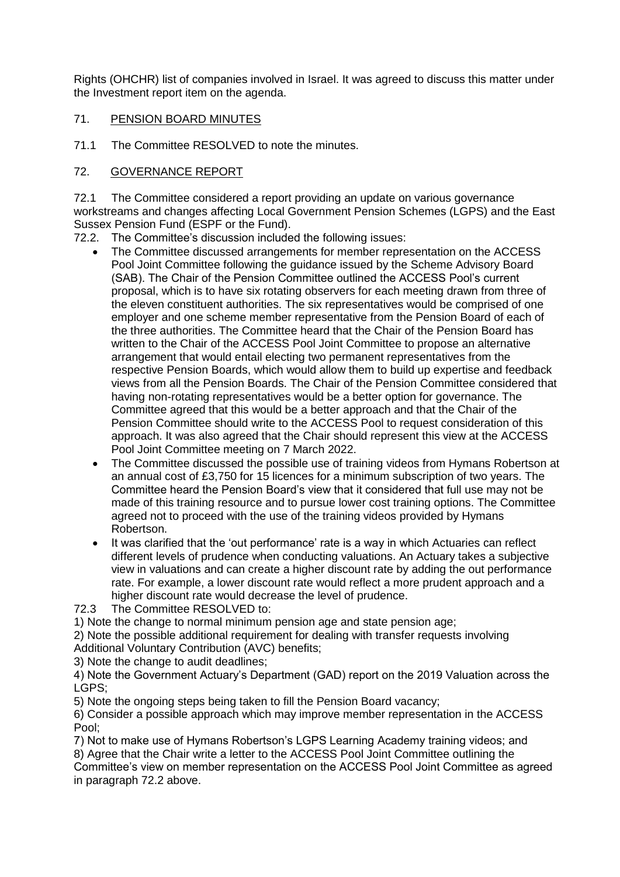Rights (OHCHR) list of companies involved in Israel. It was agreed to discuss this matter under the Investment report item on the agenda.

### 71. PENSION BOARD MINUTES

71.1 The Committee RESOLVED to note the minutes.

## 72. GOVERNANCE REPORT

72.1 The Committee considered a report providing an update on various governance workstreams and changes affecting Local Government Pension Schemes (LGPS) and the East Sussex Pension Fund (ESPF or the Fund).

- 72.2. The Committee's discussion included the following issues:
	- The Committee discussed arrangements for member representation on the ACCESS Pool Joint Committee following the guidance issued by the Scheme Advisory Board (SAB). The Chair of the Pension Committee outlined the ACCESS Pool's current proposal, which is to have six rotating observers for each meeting drawn from three of the eleven constituent authorities. The six representatives would be comprised of one employer and one scheme member representative from the Pension Board of each of the three authorities. The Committee heard that the Chair of the Pension Board has written to the Chair of the ACCESS Pool Joint Committee to propose an alternative arrangement that would entail electing two permanent representatives from the respective Pension Boards, which would allow them to build up expertise and feedback views from all the Pension Boards. The Chair of the Pension Committee considered that having non-rotating representatives would be a better option for governance. The Committee agreed that this would be a better approach and that the Chair of the Pension Committee should write to the ACCESS Pool to request consideration of this approach. It was also agreed that the Chair should represent this view at the ACCESS Pool Joint Committee meeting on 7 March 2022.
	- The Committee discussed the possible use of training videos from Hymans Robertson at an annual cost of £3,750 for 15 licences for a minimum subscription of two years. The Committee heard the Pension Board's view that it considered that full use may not be made of this training resource and to pursue lower cost training options. The Committee agreed not to proceed with the use of the training videos provided by Hymans Robertson.
	- It was clarified that the 'out performance' rate is a way in which Actuaries can reflect different levels of prudence when conducting valuations. An Actuary takes a subjective view in valuations and can create a higher discount rate by adding the out performance rate. For example, a lower discount rate would reflect a more prudent approach and a higher discount rate would decrease the level of prudence.

72.3 The Committee RESOLVED to:

1) Note the change to normal minimum pension age and state pension age;

2) Note the possible additional requirement for dealing with transfer requests involving Additional Voluntary Contribution (AVC) benefits;

3) Note the change to audit deadlines;

4) Note the Government Actuary's Department (GAD) report on the 2019 Valuation across the LGPS;

5) Note the ongoing steps being taken to fill the Pension Board vacancy;

6) Consider a possible approach which may improve member representation in the ACCESS Pool;

7) Not to make use of Hymans Robertson's LGPS Learning Academy training videos; and

8) Agree that the Chair write a letter to the ACCESS Pool Joint Committee outlining the Committee's view on member representation on the ACCESS Pool Joint Committee as agreed in paragraph 72.2 above.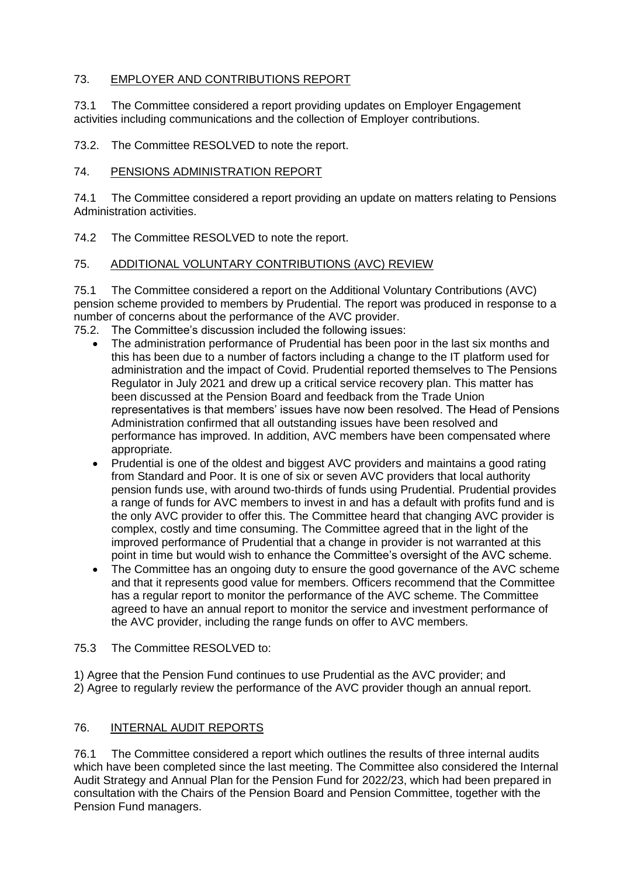## 73. EMPLOYER AND CONTRIBUTIONS REPORT

73.1 The Committee considered a report providing updates on Employer Engagement activities including communications and the collection of Employer contributions.

73.2. The Committee RESOLVED to note the report.

## 74. PENSIONS ADMINISTRATION REPORT

74.1 The Committee considered a report providing an update on matters relating to Pensions Administration activities.

74.2 The Committee RESOLVED to note the report.

## 75. ADDITIONAL VOLUNTARY CONTRIBUTIONS (AVC) REVIEW

75.1 The Committee considered a report on the Additional Voluntary Contributions (AVC) pension scheme provided to members by Prudential. The report was produced in response to a number of concerns about the performance of the AVC provider.

- 75.2. The Committee's discussion included the following issues:
	- The administration performance of Prudential has been poor in the last six months and this has been due to a number of factors including a change to the IT platform used for administration and the impact of Covid. Prudential reported themselves to The Pensions Regulator in July 2021 and drew up a critical service recovery plan. This matter has been discussed at the Pension Board and feedback from the Trade Union representatives is that members' issues have now been resolved. The Head of Pensions Administration confirmed that all outstanding issues have been resolved and performance has improved. In addition, AVC members have been compensated where appropriate.
	- Prudential is one of the oldest and biggest AVC providers and maintains a good rating from Standard and Poor. It is one of six or seven AVC providers that local authority pension funds use, with around two-thirds of funds using Prudential. Prudential provides a range of funds for AVC members to invest in and has a default with profits fund and is the only AVC provider to offer this. The Committee heard that changing AVC provider is complex, costly and time consuming. The Committee agreed that in the light of the improved performance of Prudential that a change in provider is not warranted at this point in time but would wish to enhance the Committee's oversight of the AVC scheme.
	- The Committee has an ongoing duty to ensure the good governance of the AVC scheme and that it represents good value for members. Officers recommend that the Committee has a regular report to monitor the performance of the AVC scheme. The Committee agreed to have an annual report to monitor the service and investment performance of the AVC provider, including the range funds on offer to AVC members.

#### 75.3 The Committee RESOLVED to:

1) Agree that the Pension Fund continues to use Prudential as the AVC provider; and 2) Agree to regularly review the performance of the AVC provider though an annual report.

## 76. INTERNAL AUDIT REPORTS

76.1 The Committee considered a report which outlines the results of three internal audits which have been completed since the last meeting. The Committee also considered the Internal Audit Strategy and Annual Plan for the Pension Fund for 2022/23, which had been prepared in consultation with the Chairs of the Pension Board and Pension Committee, together with the Pension Fund managers.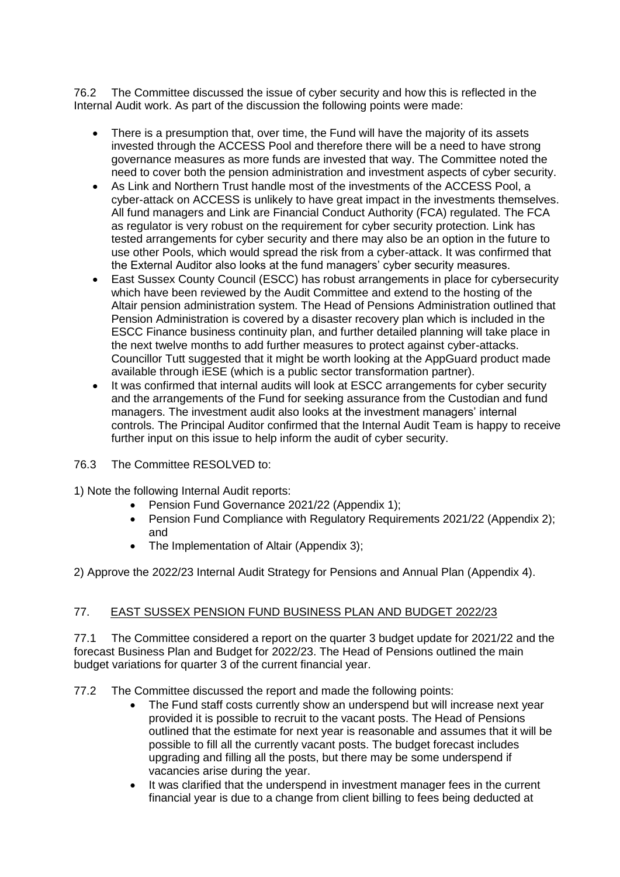76.2 The Committee discussed the issue of cyber security and how this is reflected in the Internal Audit work. As part of the discussion the following points were made:

- There is a presumption that, over time, the Fund will have the majority of its assets invested through the ACCESS Pool and therefore there will be a need to have strong governance measures as more funds are invested that way. The Committee noted the need to cover both the pension administration and investment aspects of cyber security.
- As Link and Northern Trust handle most of the investments of the ACCESS Pool, a cyber-attack on ACCESS is unlikely to have great impact in the investments themselves. All fund managers and Link are Financial Conduct Authority (FCA) regulated. The FCA as regulator is very robust on the requirement for cyber security protection. Link has tested arrangements for cyber security and there may also be an option in the future to use other Pools, which would spread the risk from a cyber-attack. It was confirmed that the External Auditor also looks at the fund managers' cyber security measures.
- East Sussex County Council (ESCC) has robust arrangements in place for cybersecurity which have been reviewed by the Audit Committee and extend to the hosting of the Altair pension administration system. The Head of Pensions Administration outlined that Pension Administration is covered by a disaster recovery plan which is included in the ESCC Finance business continuity plan, and further detailed planning will take place in the next twelve months to add further measures to protect against cyber-attacks. Councillor Tutt suggested that it might be worth looking at the AppGuard product made available through iESE (which is a public sector transformation partner).
- It was confirmed that internal audits will look at ESCC arrangements for cyber security and the arrangements of the Fund for seeking assurance from the Custodian and fund managers. The investment audit also looks at the investment managers' internal controls. The Principal Auditor confirmed that the Internal Audit Team is happy to receive further input on this issue to help inform the audit of cyber security.

#### 76.3 The Committee RESOLVED to:

- 1) Note the following Internal Audit reports:
	- Pension Fund Governance 2021/22 (Appendix 1);
	- Pension Fund Compliance with Regulatory Requirements 2021/22 (Appendix 2); and
	- The Implementation of Altair (Appendix 3);

2) Approve the 2022/23 Internal Audit Strategy for Pensions and Annual Plan (Appendix 4).

#### 77. EAST SUSSEX PENSION FUND BUSINESS PLAN AND BUDGET 2022/23

77.1 The Committee considered a report on the quarter 3 budget update for 2021/22 and the forecast Business Plan and Budget for 2022/23. The Head of Pensions outlined the main budget variations for quarter 3 of the current financial year.

77.2 The Committee discussed the report and made the following points:

- The Fund staff costs currently show an underspend but will increase next year provided it is possible to recruit to the vacant posts. The Head of Pensions outlined that the estimate for next year is reasonable and assumes that it will be possible to fill all the currently vacant posts. The budget forecast includes upgrading and filling all the posts, but there may be some underspend if vacancies arise during the year.
- It was clarified that the underspend in investment manager fees in the current financial year is due to a change from client billing to fees being deducted at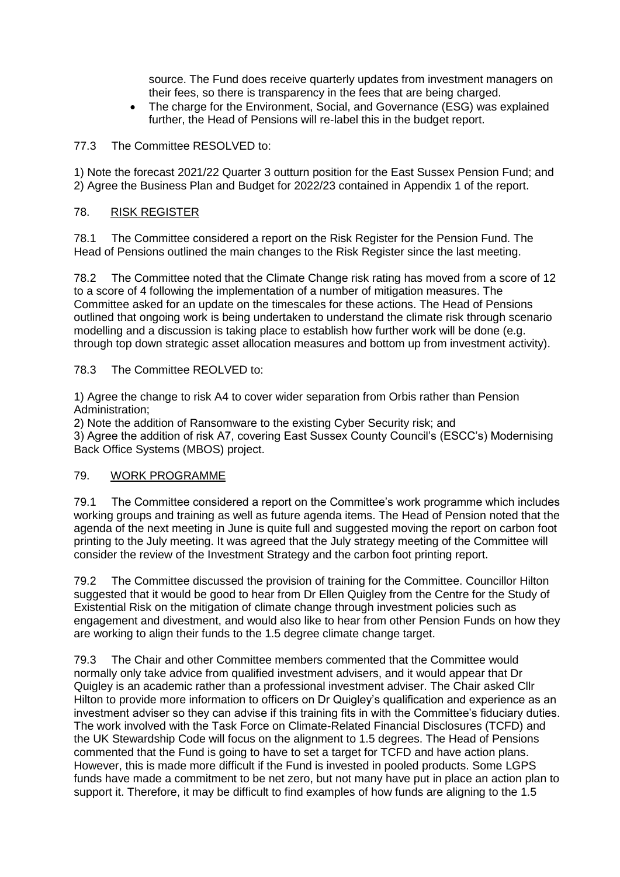source. The Fund does receive quarterly updates from investment managers on their fees, so there is transparency in the fees that are being charged.

• The charge for the Environment, Social, and Governance (ESG) was explained further, the Head of Pensions will re-label this in the budget report.

#### 77.3 The Committee RESOLVED to:

1) Note the forecast 2021/22 Quarter 3 outturn position for the East Sussex Pension Fund; and 2) Agree the Business Plan and Budget for 2022/23 contained in Appendix 1 of the report.

#### 78. RISK REGISTER

78.1 The Committee considered a report on the Risk Register for the Pension Fund. The Head of Pensions outlined the main changes to the Risk Register since the last meeting.

78.2 The Committee noted that the Climate Change risk rating has moved from a score of 12 to a score of 4 following the implementation of a number of mitigation measures. The Committee asked for an update on the timescales for these actions. The Head of Pensions outlined that ongoing work is being undertaken to understand the climate risk through scenario modelling and a discussion is taking place to establish how further work will be done (e.g. through top down strategic asset allocation measures and bottom up from investment activity).

#### 78.3 The Committee REOLVED to:

1) Agree the change to risk A4 to cover wider separation from Orbis rather than Pension Administration;

2) Note the addition of Ransomware to the existing Cyber Security risk; and 3) Agree the addition of risk A7, covering East Sussex County Council's (ESCC's) Modernising Back Office Systems (MBOS) project.

#### 79. WORK PROGRAMME

79.1 The Committee considered a report on the Committee's work programme which includes working groups and training as well as future agenda items. The Head of Pension noted that the agenda of the next meeting in June is quite full and suggested moving the report on carbon foot printing to the July meeting. It was agreed that the July strategy meeting of the Committee will consider the review of the Investment Strategy and the carbon foot printing report.

79.2 The Committee discussed the provision of training for the Committee. Councillor Hilton suggested that it would be good to hear from Dr Ellen Quigley from the Centre for the Study of Existential Risk on the mitigation of climate change through investment policies such as engagement and divestment, and would also like to hear from other Pension Funds on how they are working to align their funds to the 1.5 degree climate change target.

79.3 The Chair and other Committee members commented that the Committee would normally only take advice from qualified investment advisers, and it would appear that Dr Quigley is an academic rather than a professional investment adviser. The Chair asked Cllr Hilton to provide more information to officers on Dr Quigley's qualification and experience as an investment adviser so they can advise if this training fits in with the Committee's fiduciary duties. The work involved with the Task Force on Climate-Related Financial Disclosures (TCFD) and the UK Stewardship Code will focus on the alignment to 1.5 degrees. The Head of Pensions commented that the Fund is going to have to set a target for TCFD and have action plans. However, this is made more difficult if the Fund is invested in pooled products. Some LGPS funds have made a commitment to be net zero, but not many have put in place an action plan to support it. Therefore, it may be difficult to find examples of how funds are aligning to the 1.5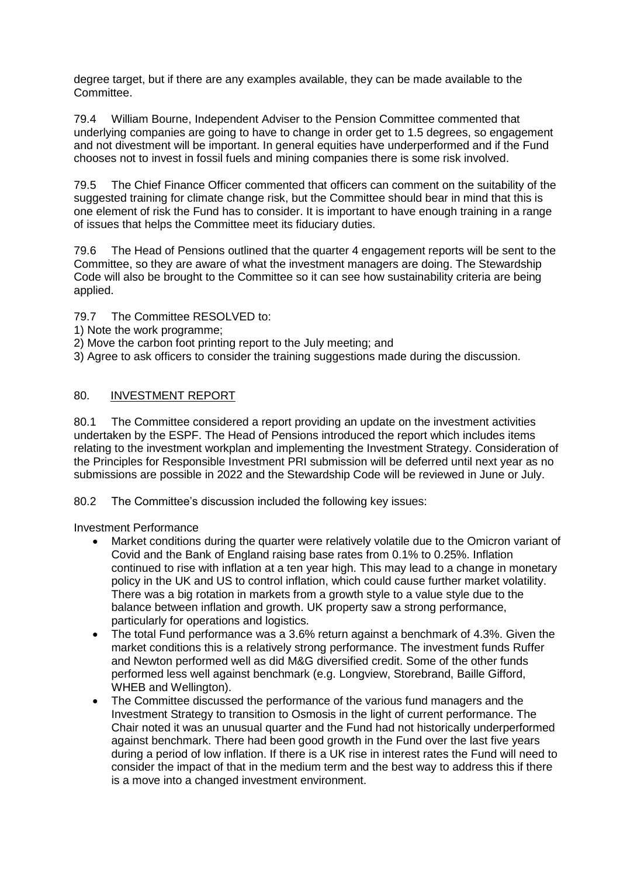degree target, but if there are any examples available, they can be made available to the Committee.

79.4 William Bourne, Independent Adviser to the Pension Committee commented that underlying companies are going to have to change in order get to 1.5 degrees, so engagement and not divestment will be important. In general equities have underperformed and if the Fund chooses not to invest in fossil fuels and mining companies there is some risk involved.

79.5 The Chief Finance Officer commented that officers can comment on the suitability of the suggested training for climate change risk, but the Committee should bear in mind that this is one element of risk the Fund has to consider. It is important to have enough training in a range of issues that helps the Committee meet its fiduciary duties.

79.6 The Head of Pensions outlined that the quarter 4 engagement reports will be sent to the Committee, so they are aware of what the investment managers are doing. The Stewardship Code will also be brought to the Committee so it can see how sustainability criteria are being applied.

79.7 The Committee RESOLVED to:

- 1) Note the work programme;
- 2) Move the carbon foot printing report to the July meeting; and

3) Agree to ask officers to consider the training suggestions made during the discussion.

#### 80. INVESTMENT REPORT

80.1 The Committee considered a report providing an update on the investment activities undertaken by the ESPF. The Head of Pensions introduced the report which includes items relating to the investment workplan and implementing the Investment Strategy. Consideration of the Principles for Responsible Investment PRI submission will be deferred until next year as no submissions are possible in 2022 and the Stewardship Code will be reviewed in June or July.

80.2 The Committee's discussion included the following key issues:

Investment Performance

- Market conditions during the quarter were relatively volatile due to the Omicron variant of Covid and the Bank of England raising base rates from 0.1% to 0.25%. Inflation continued to rise with inflation at a ten year high. This may lead to a change in monetary policy in the UK and US to control inflation, which could cause further market volatility. There was a big rotation in markets from a growth style to a value style due to the balance between inflation and growth. UK property saw a strong performance, particularly for operations and logistics.
- The total Fund performance was a 3.6% return against a benchmark of 4.3%. Given the market conditions this is a relatively strong performance. The investment funds Ruffer and Newton performed well as did M&G diversified credit. Some of the other funds performed less well against benchmark (e.g. Longview, Storebrand, Baille Gifford, WHEB and Wellington).
- The Committee discussed the performance of the various fund managers and the Investment Strategy to transition to Osmosis in the light of current performance. The Chair noted it was an unusual quarter and the Fund had not historically underperformed against benchmark. There had been good growth in the Fund over the last five years during a period of low inflation. If there is a UK rise in interest rates the Fund will need to consider the impact of that in the medium term and the best way to address this if there is a move into a changed investment environment.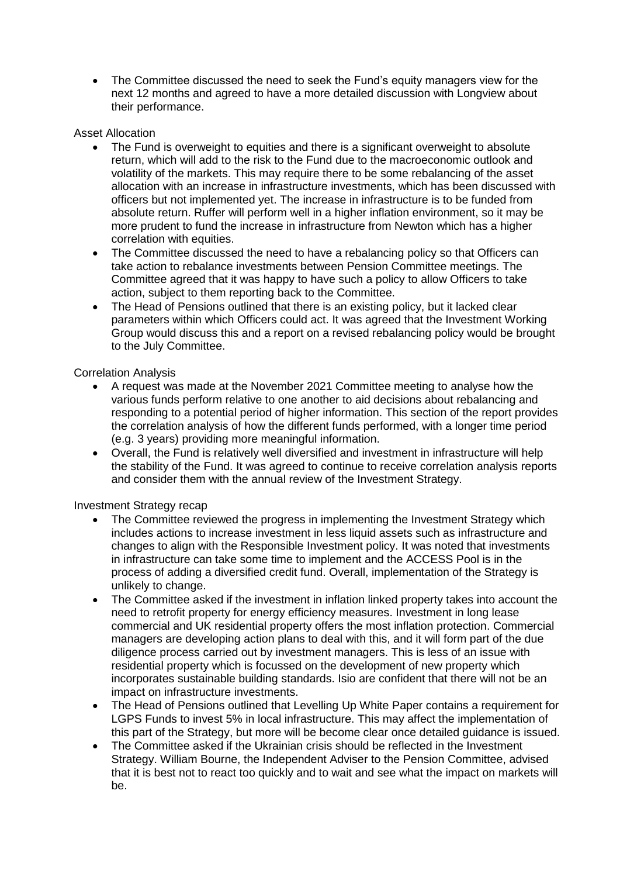• The Committee discussed the need to seek the Fund's equity managers view for the next 12 months and agreed to have a more detailed discussion with Longview about their performance.

## Asset Allocation

- The Fund is overweight to equities and there is a significant overweight to absolute return, which will add to the risk to the Fund due to the macroeconomic outlook and volatility of the markets. This may require there to be some rebalancing of the asset allocation with an increase in infrastructure investments, which has been discussed with officers but not implemented yet. The increase in infrastructure is to be funded from absolute return. Ruffer will perform well in a higher inflation environment, so it may be more prudent to fund the increase in infrastructure from Newton which has a higher correlation with equities.
- The Committee discussed the need to have a rebalancing policy so that Officers can take action to rebalance investments between Pension Committee meetings. The Committee agreed that it was happy to have such a policy to allow Officers to take action, subject to them reporting back to the Committee.
- The Head of Pensions outlined that there is an existing policy, but it lacked clear parameters within which Officers could act. It was agreed that the Investment Working Group would discuss this and a report on a revised rebalancing policy would be brought to the July Committee.

## Correlation Analysis

- A request was made at the November 2021 Committee meeting to analyse how the various funds perform relative to one another to aid decisions about rebalancing and responding to a potential period of higher information. This section of the report provides the correlation analysis of how the different funds performed, with a longer time period (e.g. 3 years) providing more meaningful information.
- Overall, the Fund is relatively well diversified and investment in infrastructure will help the stability of the Fund. It was agreed to continue to receive correlation analysis reports and consider them with the annual review of the Investment Strategy.

Investment Strategy recap

- The Committee reviewed the progress in implementing the Investment Strategy which includes actions to increase investment in less liquid assets such as infrastructure and changes to align with the Responsible Investment policy. It was noted that investments in infrastructure can take some time to implement and the ACCESS Pool is in the process of adding a diversified credit fund. Overall, implementation of the Strategy is unlikely to change.
- The Committee asked if the investment in inflation linked property takes into account the need to retrofit property for energy efficiency measures. Investment in long lease commercial and UK residential property offers the most inflation protection. Commercial managers are developing action plans to deal with this, and it will form part of the due diligence process carried out by investment managers. This is less of an issue with residential property which is focussed on the development of new property which incorporates sustainable building standards. Isio are confident that there will not be an impact on infrastructure investments.
- The Head of Pensions outlined that Levelling Up White Paper contains a requirement for LGPS Funds to invest 5% in local infrastructure. This may affect the implementation of this part of the Strategy, but more will be become clear once detailed guidance is issued.
- The Committee asked if the Ukrainian crisis should be reflected in the Investment Strategy. William Bourne, the Independent Adviser to the Pension Committee, advised that it is best not to react too quickly and to wait and see what the impact on markets will be.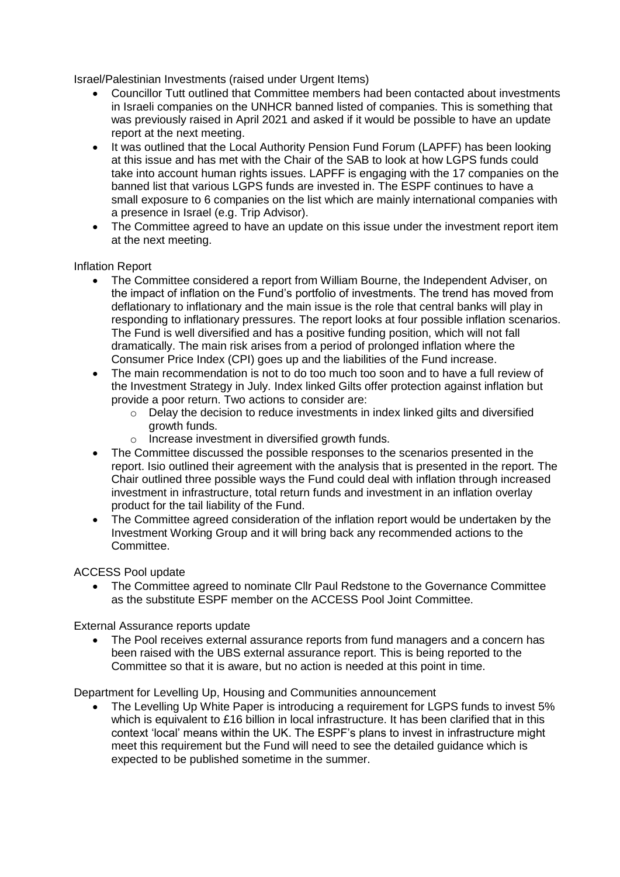Israel/Palestinian Investments (raised under Urgent Items)

- Councillor Tutt outlined that Committee members had been contacted about investments in Israeli companies on the UNHCR banned listed of companies. This is something that was previously raised in April 2021 and asked if it would be possible to have an update report at the next meeting.
- It was outlined that the Local Authority Pension Fund Forum (LAPFF) has been looking at this issue and has met with the Chair of the SAB to look at how LGPS funds could take into account human rights issues. LAPFF is engaging with the 17 companies on the banned list that various LGPS funds are invested in. The ESPF continues to have a small exposure to 6 companies on the list which are mainly international companies with a presence in Israel (e.g. Trip Advisor).
- The Committee agreed to have an update on this issue under the investment report item at the next meeting.

#### Inflation Report

- The Committee considered a report from William Bourne, the Independent Adviser, on the impact of inflation on the Fund's portfolio of investments. The trend has moved from deflationary to inflationary and the main issue is the role that central banks will play in responding to inflationary pressures. The report looks at four possible inflation scenarios. The Fund is well diversified and has a positive funding position, which will not fall dramatically. The main risk arises from a period of prolonged inflation where the Consumer Price Index (CPI) goes up and the liabilities of the Fund increase.
- The main recommendation is not to do too much too soon and to have a full review of the Investment Strategy in July. Index linked Gilts offer protection against inflation but provide a poor return. Two actions to consider are:
	- o Delay the decision to reduce investments in index linked gilts and diversified growth funds.
	- o Increase investment in diversified growth funds.
- The Committee discussed the possible responses to the scenarios presented in the report. Isio outlined their agreement with the analysis that is presented in the report. The Chair outlined three possible ways the Fund could deal with inflation through increased investment in infrastructure, total return funds and investment in an inflation overlay product for the tail liability of the Fund.
- The Committee agreed consideration of the inflation report would be undertaken by the Investment Working Group and it will bring back any recommended actions to the Committee.

#### ACCESS Pool update

 The Committee agreed to nominate Cllr Paul Redstone to the Governance Committee as the substitute ESPF member on the ACCESS Pool Joint Committee.

#### External Assurance reports update

 The Pool receives external assurance reports from fund managers and a concern has been raised with the UBS external assurance report. This is being reported to the Committee so that it is aware, but no action is needed at this point in time.

Department for Levelling Up, Housing and Communities announcement

 The Levelling Up White Paper is introducing a requirement for LGPS funds to invest 5% which is equivalent to £16 billion in local infrastructure. It has been clarified that in this context 'local' means within the UK. The ESPF's plans to invest in infrastructure might meet this requirement but the Fund will need to see the detailed guidance which is expected to be published sometime in the summer.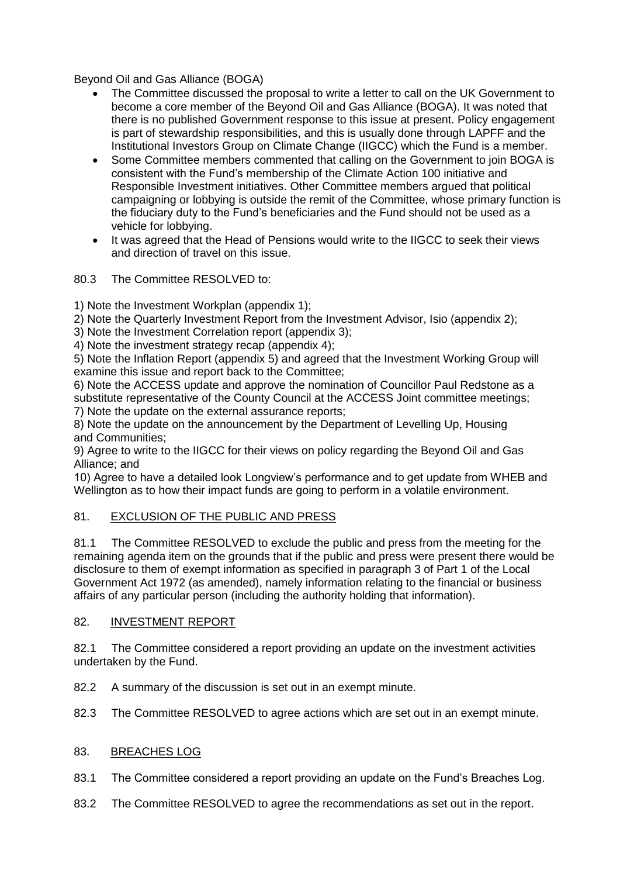Beyond Oil and Gas Alliance (BOGA)

- The Committee discussed the proposal to write a letter to call on the UK Government to become a core member of the Beyond Oil and Gas Alliance (BOGA). It was noted that there is no published Government response to this issue at present. Policy engagement is part of stewardship responsibilities, and this is usually done through LAPFF and the Institutional Investors Group on Climate Change (IIGCC) which the Fund is a member.
- Some Committee members commented that calling on the Government to join BOGA is consistent with the Fund's membership of the Climate Action 100 initiative and Responsible Investment initiatives. Other Committee members argued that political campaigning or lobbying is outside the remit of the Committee, whose primary function is the fiduciary duty to the Fund's beneficiaries and the Fund should not be used as a vehicle for lobbying.
- It was agreed that the Head of Pensions would write to the IIGCC to seek their views and direction of travel on this issue.

80.3 The Committee RESOLVED to:

1) Note the Investment Workplan (appendix 1);

2) Note the Quarterly Investment Report from the Investment Advisor, Isio (appendix 2);

3) Note the Investment Correlation report (appendix 3);

4) Note the investment strategy recap (appendix 4);

5) Note the Inflation Report (appendix 5) and agreed that the Investment Working Group will examine this issue and report back to the Committee;

6) Note the ACCESS update and approve the nomination of Councillor Paul Redstone as a substitute representative of the County Council at the ACCESS Joint committee meetings; 7) Note the update on the external assurance reports;

8) Note the update on the announcement by the Department of Levelling Up, Housing and Communities;

9) Agree to write to the IIGCC for their views on policy regarding the Beyond Oil and Gas Alliance; and

10) Agree to have a detailed look Longview's performance and to get update from WHEB and Wellington as to how their impact funds are going to perform in a volatile environment.

## 81. EXCLUSION OF THE PUBLIC AND PRESS

81.1 The Committee RESOLVED to exclude the public and press from the meeting for the remaining agenda item on the grounds that if the public and press were present there would be disclosure to them of exempt information as specified in paragraph 3 of Part 1 of the Local Government Act 1972 (as amended), namely information relating to the financial or business affairs of any particular person (including the authority holding that information).

#### 82. INVESTMENT REPORT

82.1 The Committee considered a report providing an update on the investment activities undertaken by the Fund.

82.2 A summary of the discussion is set out in an exempt minute.

82.3 The Committee RESOLVED to agree actions which are set out in an exempt minute.

#### 83. BREACHES LOG

- 83.1 The Committee considered a report providing an update on the Fund's Breaches Log.
- 83.2 The Committee RESOLVED to agree the recommendations as set out in the report.